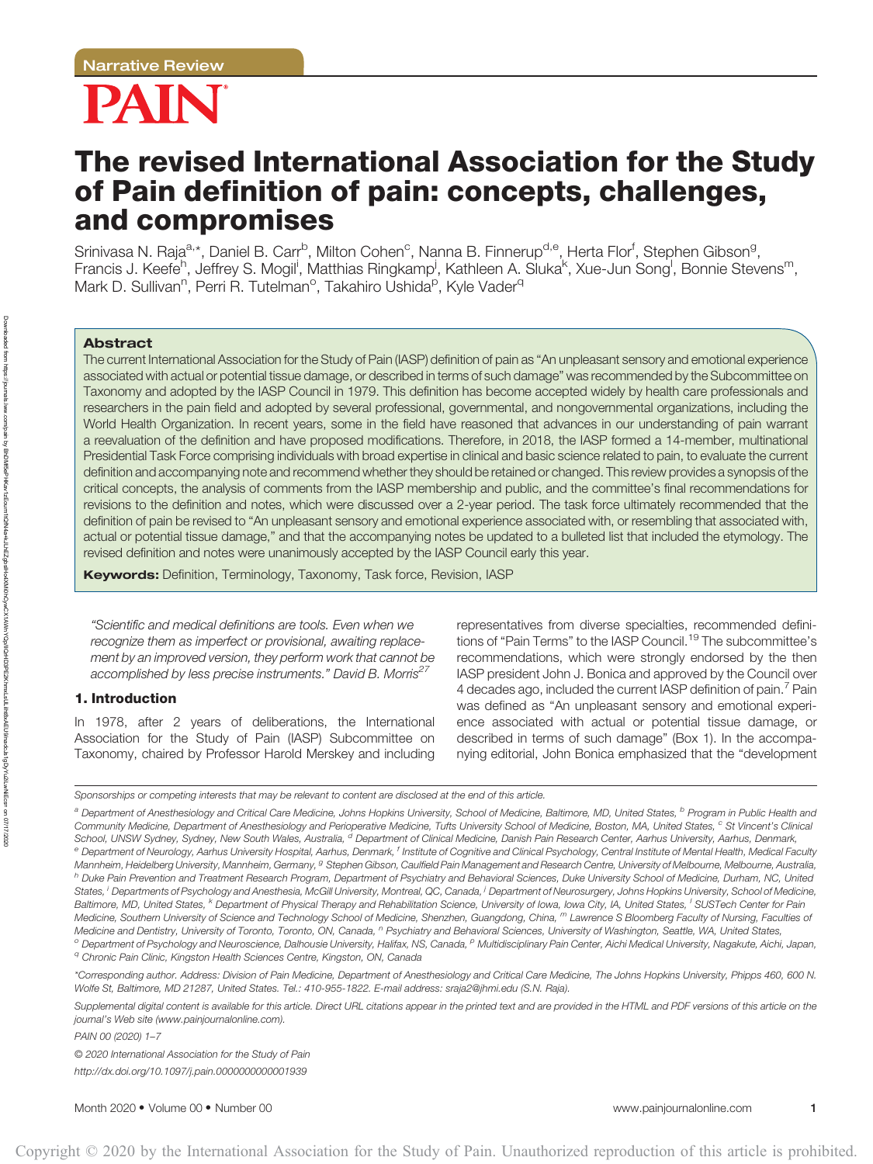# PAIN

## The revised International Association for the Study of Pain definition of pain: concepts, challenges, and compromises

Srinivasa N. Raja<sup>a,</sup>\*, Daniel B. Carr<sup>b</sup>, Milton Cohen<sup>c</sup>, Nanna B. Finnerup<sup>d,e</sup>, Herta Flor<sup>f</sup>, Stephen Gibson<sup>g</sup>, Francis J. Keefe<sup>h</sup>, Jeffrey S. Mogil<sup>i</sup>, Matthias Ringkamp<sup>i</sup>, Kathleen A. Sluka<sup>k</sup>, Xue-Jun Song<sup>i</sup>, Bonnie Stevens<sup>m</sup>, Mark D. Sullivan<sup>n</sup>, Perri R. Tutelman<sup>o</sup>, Takahiro Ushida<sup>p</sup>, Kyle Vader<sup>q</sup>

#### Abstract

Downloaded from

https://journals.lww.com/pain

n by BhDMi5ePHKav1zEoum1tQIN4a+kJLhEZgbsIHo4XMMDCWVAYAWnYQp/IKJCHD3PE2KhmXLsULiihtBxAEUsinadcJs1gDyYu2LwNiEcs= BhDMf5ePHKav1zEoum1tQfN4a+kJLhEZgbsIHo4XMi0hCywCX1AWnYQp/IlQrHD3PE2KhmxLsULilint8xAEU9/nadcJs1gDyYu2iLwNiEcs==

on 07/17/2020 07/17/2020

The current International Association for the Study of Pain (IASP) definition of pain as "An unpleasant sensory and emotional experience associated with actual or potential tissue damage, or described in terms of such damage" was recommended by the Subcommittee on Taxonomy and adopted by the IASP Council in 1979. This definition has become accepted widely by health care professionals and researchers in the pain field and adopted by several professional, governmental, and nongovernmental organizations, including the World Health Organization. In recent years, some in the field have reasoned that advances in our understanding of pain warrant a reevaluation of the definition and have proposed modifications. Therefore, in 2018, the IASP formed a 14-member, multinational Presidential Task Force comprising individuals with broad expertise in clinical and basic science related to pain, to evaluate the current definition and accompanying note and recommend whether they should be retained or changed. This review provides a synopsis of the critical concepts, the analysis of comments from the IASP membership and public, and the committee's final recommendations for revisions to the definition and notes, which were discussed over a 2-year period. The task force ultimately recommended that the definition of pain be revised to "An unpleasant sensory and emotional experience associated with, or resembling that associated with, actual or potential tissue damage," and that the accompanying notes be updated to a bulleted list that included the etymology. The revised definition and notes were unanimously accepted by the IASP Council early this year.

Keywords: Definition, Terminology, Taxonomy, Task force, Revision, IASP

"Scientific and medical definitions are tools. Even when we recognize them as imperfect or provisional, awaiting replacement by an improved version, they perform work that cannot be accomplished by less precise instruments." David B. Morris<sup>27</sup>

#### 1. Introduction

In 1978, after 2 years of deliberations, the International Association for the Study of Pain (IASP) Subcommittee on Taxonomy, chaired by Professor Harold Merskey and including representatives from diverse specialties, recommended definitions of "Pain Terms" to the IASP Council.<sup>19</sup> The subcommittee's recommendations, which were strongly endorsed by the then IASP president John J. Bonica and approved by the Council over 4 decades ago, included the current IASP definition of pain.<sup>7</sup> Pain was defined as "An unpleasant sensory and emotional experience associated with actual or potential tissue damage, or described in terms of such damage" (Box 1). In the accompanying editorial, John Bonica emphasized that the "development

a Department of Anesthesiology and Critical Care Medicine, Johns Hopkins University, School of Medicine, Baltimore, MD, United States, <sup>b</sup> Program in Public Health and Community Medicine, Department of Anesthesiology and Perioperative Medicine, Tufts University School of Medicine, Boston, MA, United States, <sup>c</sup> St Vincent's Clinical School, UNSW Sydney, Sydney, New South Wales, Australia, <sup>d</sup> Department of Clinical Medicine, Danish Pain Research Center, Aarhus University, Aarhus, Denmark, e Department of Neurology, Aarhus University Hospital, Aarhus, Denmark, <sup>f</sup> Institute of Cognitive and Clinical Psychology, Central Institute of Mental Health, Medical Faculty Mannheim, Heidelberg University, Mannheim, Germany, <sup>g</sup> Stephen Gibson, Caulfield Pain Management and Research Centre, University of Melbourne, Melbourne, Australia, <sup>h</sup> Duke Pain Prevention and Treatment Research Program, Department of Psychiatry and Behavioral Sciences, Duke University School of Medicine, Durham, NC, United States, <sup>i</sup> Departments of Psychology and Anesthesia, McGill University, Montreal, QC, Canada, <sup>i</sup> Department of Neurosurgery, Johns Hopkins University, School of Medicine, Baltimore, MD, United States, <sup>k</sup> Department of Physical Therapy and Rehabilitation Science, University of Iowa, Iowa City, IA, United States, <sup>I</sup> SUSTech Center for Pain Medicine, Southern University of Science and Technology School of Medicine, Shenzhen, Guangdong, China, <sup>m</sup> Lawrence S Bloomberg Faculty of Nursing, Faculties of Medicine and Dentistry, University of Toronto, Toronto, ON, Canada, <sup>n</sup> Psychiatry and Behavioral Sciences, University of Washington, Seattle, WA, United States, <sup>o</sup> Department of Psychology and Neuroscience, Dalhousie University, Halifax, NS, Canada, <sup>p</sup> Multidisciplinary Pain Center, Aichi Medical University, Nagakute, Aichi, Japan, <sup>q</sup> Chronic Pain Clinic, Kingston Health Sciences Centre, Kingston, ON, Canada

\*Corresponding author. Address: Division of Pain Medicine, Department of Anesthesiology and Critical Care Medicine, The Johns Hopkins University, Phipps 460, 600 N. Wolfe St, Baltimore, MD 21287, United States. Tel.: 410-955-1822. E-mail address: [sraja2@jhmi.edu](mailto:sraja2@jhmi.edu) (S.N. Raja).

Supplemental digital content is available for this article. Direct URL citations appear in the printed text and are provided in the HTML and PDF versions of this article on the journal's Web site ([www.painjournalonline.com\)](http://www.painjournalonline.com).

PAIN 00 (2020) 1–7

© 2020 International Association for the Study of Pain <http://dx.doi.org/10.1097/j.pain.0000000000001939>

Month 2020 • Volume 00 • Number 00<www.painjournalonline.com> 1

Sponsorships or competing interests that may be relevant to content are disclosed at the end of this article.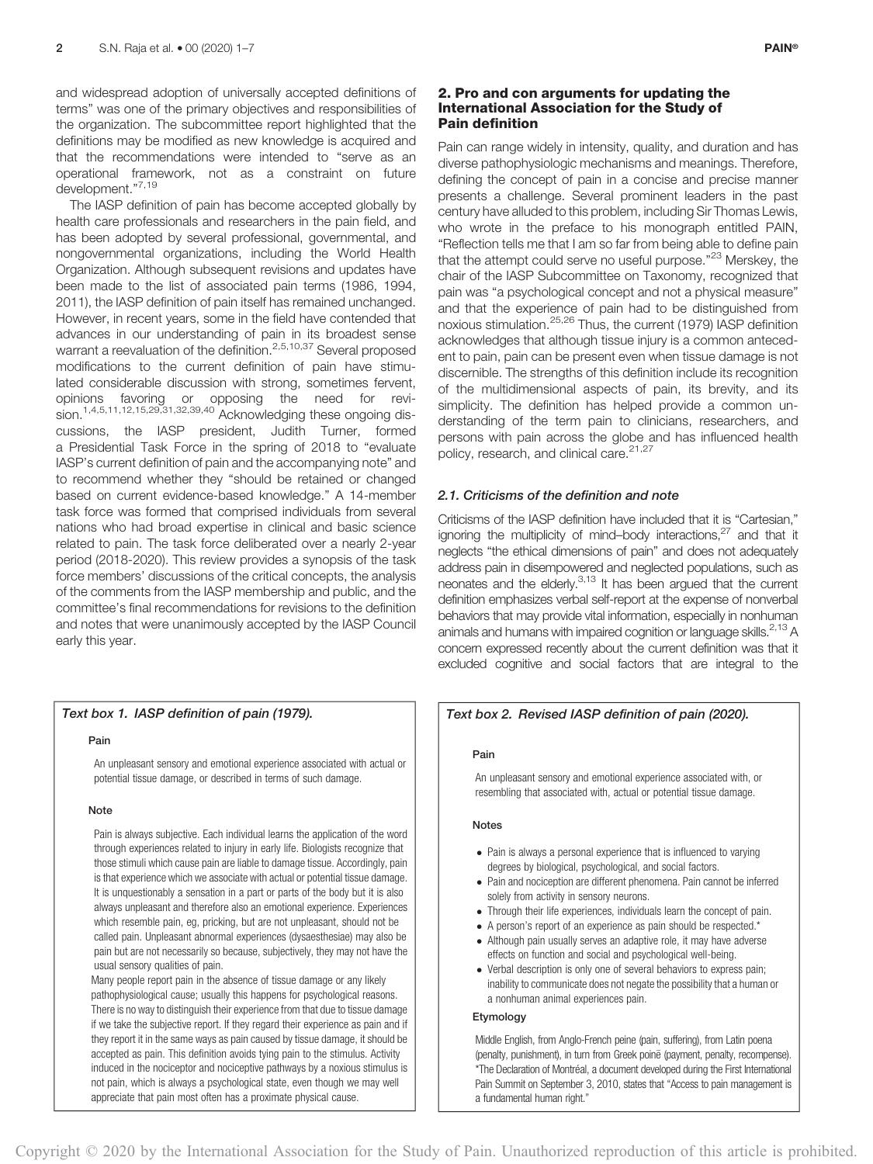and widespread adoption of universally accepted definitions of terms" was one of the primary objectives and responsibilities of the organization. The subcommittee report highlighted that the definitions may be modified as new knowledge is acquired and that the recommendations were intended to "serve as an operational framework, not as a constraint on future development."7,19

The IASP definition of pain has become accepted globally by health care professionals and researchers in the pain field, and has been adopted by several professional, governmental, and nongovernmental organizations, including the World Health Organization. Although subsequent revisions and updates have been made to the list of associated pain terms (1986, 1994, 2011), the IASP definition of pain itself has remained unchanged. However, in recent years, some in the field have contended that advances in our understanding of pain in its broadest sense warrant a reevaluation of the definition.<sup>2,5,10,37</sup> Several proposed modifications to the current definition of pain have stimulated considerable discussion with strong, sometimes fervent, opinions favoring or opposing the need for revision.<sup>1,4,5,11,12,15,29,31,32,39,40</sup> Acknowledging these ongoing discussions, the IASP president, Judith Turner, formed a Presidential Task Force in the spring of 2018 to "evaluate IASP's current definition of pain and the accompanying note" and to recommend whether they "should be retained or changed based on current evidence-based knowledge." A 14-member task force was formed that comprised individuals from several nations who had broad expertise in clinical and basic science related to pain. The task force deliberated over a nearly 2-year period (2018-2020). This review provides a synopsis of the task force members' discussions of the critical concepts, the analysis of the comments from the IASP membership and public, and the committee's final recommendations for revisions to the definition and notes that were unanimously accepted by the IASP Council early this year.

#### Text box 1. IASP definition of pain (1979).

#### Pain

An unpleasant sensory and emotional experience associated with actual or potential tissue damage, or described in terms of such damage.

#### **Note**

Pain is always subjective. Each individual learns the application of the word through experiences related to injury in early life. Biologists recognize that those stimuli which cause pain are liable to damage tissue. Accordingly, pain is that experience which we associate with actual or potential tissue damage. It is unquestionably a sensation in a part or parts of the body but it is also always unpleasant and therefore also an emotional experience. Experiences which resemble pain, eg, pricking, but are not unpleasant, should not be called pain. Unpleasant abnormal experiences (dysaesthesiae) may also be pain but are not necessarily so because, subjectively, they may not have the usual sensory qualities of pain.

Many people report pain in the absence of tissue damage or any likely pathophysiological cause; usually this happens for psychological reasons. There is no way to distinguish their experience from that due to tissue damage if we take the subjective report. If they regard their experience as pain and if they report it in the same ways as pain caused by tissue damage, it should be accepted as pain. This definition avoids tying pain to the stimulus. Activity induced in the nociceptor and nociceptive pathways by a noxious stimulus is not pain, which is always a psychological state, even though we may well appreciate that pain most often has a proximate physical cause.

#### 2. Pro and con arguments for updating the International Association for the Study of Pain definition

Pain can range widely in intensity, quality, and duration and has diverse pathophysiologic mechanisms and meanings. Therefore, defining the concept of pain in a concise and precise manner presents a challenge. Several prominent leaders in the past century have alluded to this problem, including Sir Thomas Lewis, who wrote in the preface to his monograph entitled PAIN, "Reflection tells me that I am so far from being able to define pain that the attempt could serve no useful purpose."<sup>23</sup> Merskey, the chair of the IASP Subcommittee on Taxonomy, recognized that pain was "a psychological concept and not a physical measure" and that the experience of pain had to be distinguished from noxious stimulation.25,26 Thus, the current (1979) IASP definition acknowledges that although tissue injury is a common antecedent to pain, pain can be present even when tissue damage is not discernible. The strengths of this definition include its recognition of the multidimensional aspects of pain, its brevity, and its simplicity. The definition has helped provide a common understanding of the term pain to clinicians, researchers, and persons with pain across the globe and has influenced health policy, research, and clinical care.<sup>21,27</sup>

#### 2.1. Criticisms of the definition and note

Criticisms of the IASP definition have included that it is "Cartesian," ignoring the multiplicity of mind–body interactions, $27$  and that it neglects "the ethical dimensions of pain" and does not adequately address pain in disempowered and neglected populations, such as neonates and the elderly.<sup>3,13</sup> It has been argued that the current definition emphasizes verbal self-report at the expense of nonverbal behaviors that may provide vital information, especially in nonhuman animals and humans with impaired cognition or language skills.<sup>2,13</sup> A concern expressed recently about the current definition was that it excluded cognitive and social factors that are integral to the

#### Text box 2. Revised IASP definition of pain (2020).

#### Pain

An unpleasant sensory and emotional experience associated with, or resembling that associated with, actual or potential tissue damage.

#### **Notes**

- Pain is always a personal experience that is influenced to varying degrees by biological, psychological, and social factors.
- Pain and nociception are different phenomena. Pain cannot be inferred solely from activity in sensory neurons.
- Through their life experiences, individuals learn the concept of pain.
- A person's report of an experience as pain should be respected.\*
- Although pain usually serves an adaptive role, it may have adverse effects on function and social and psychological well-being.
- Verbal description is only one of several behaviors to express pain; inability to communicate does not negate the possibility that a human or a nonhuman animal experiences pain.

### Etymology

Middle English, from Anglo-French peine (pain, suffering), from Latin poena (penalty, punishment), in turn from Greek poine (payment, penalty, recompense). \*The Declaration of Montréal, a document developed during the First International Pain Summit on September 3, 2010, states that "Access to pain management is a fundamental human right."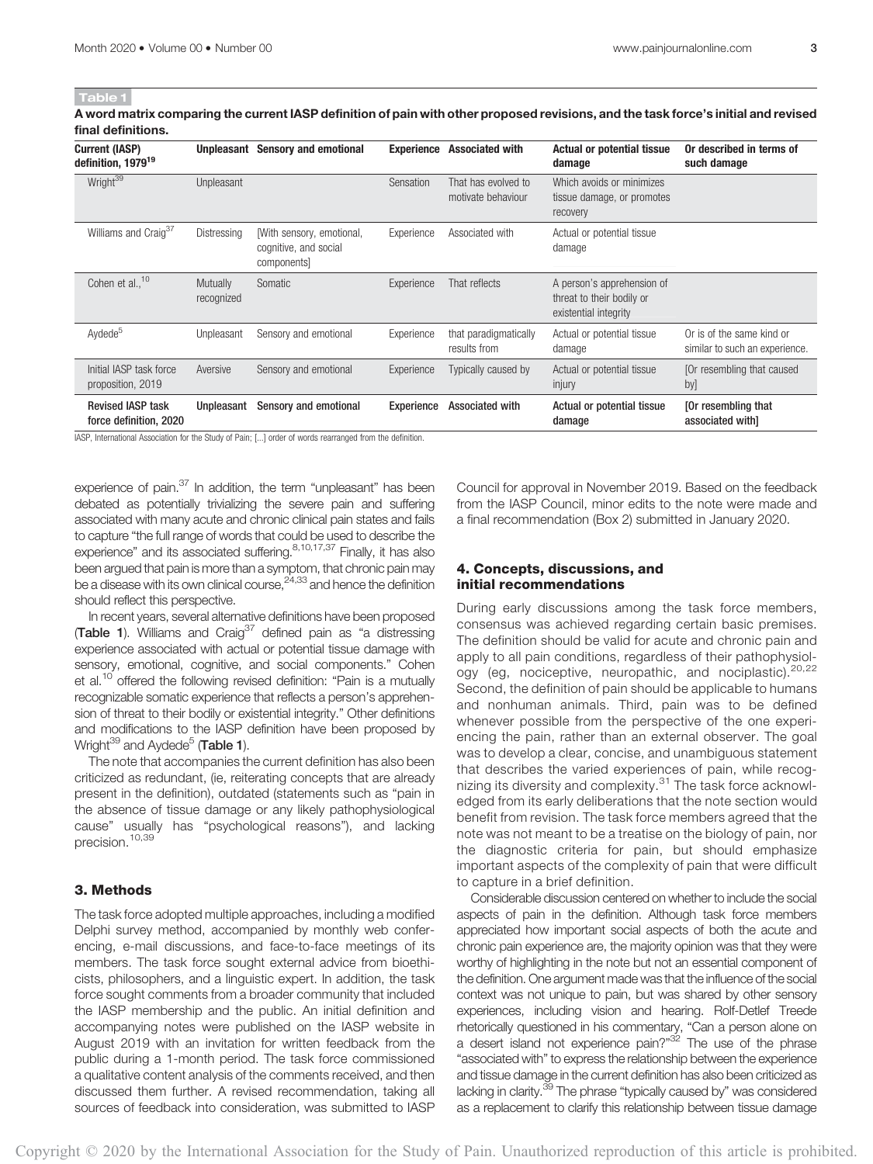A word matrix comparing the current IASP definition of pain with other proposed revisions, and the task force's initial and revised final definitions.

| <b>Current (IASP)</b><br>definition. 1979 <sup>19</sup> |                        | <b>Unpleasant</b> Sensory and emotional                           | <b>Experience</b> | <b>Associated with</b>                    | <b>Actual or potential tissue</b><br>damage                                      | Or described in terms of<br>such damage                     |
|---------------------------------------------------------|------------------------|-------------------------------------------------------------------|-------------------|-------------------------------------------|----------------------------------------------------------------------------------|-------------------------------------------------------------|
| Wright <sup>39</sup>                                    | Unpleasant             |                                                                   | Sensation         | That has evolved to<br>motivate behaviour | Which avoids or minimizes<br>tissue damage, or promotes<br>recovery              |                                                             |
| Williams and Craig <sup>37</sup>                        | Distressing            | [With sensory, emotional,<br>cognitive, and social<br>components] | Experience        | Associated with                           | Actual or potential tissue<br>damage                                             |                                                             |
| Cohen et al <sup>10</sup>                               | Mutually<br>recognized | Somatic                                                           | Experience        | That reflects                             | A person's apprehension of<br>threat to their bodily or<br>existential integrity |                                                             |
| Aydede <sup>5</sup>                                     | Unpleasant             | Sensory and emotional                                             | Experience        | that paradigmatically<br>results from     | Actual or potential tissue<br>damage                                             | Or is of the same kind or<br>similar to such an experience. |
| Initial IASP task force<br>proposition, 2019            | Aversive               | Sensory and emotional                                             | Experience        | Typically caused by                       | Actual or potential tissue<br>injury                                             | [Or resembling that caused<br>by]                           |
| <b>Revised IASP task</b><br>force definition, 2020      | Unpleasant             | Sensory and emotional                                             | Experience        | <b>Associated with</b>                    | Actual or potential tissue<br>damage                                             | [Or resembling that<br>associated with]                     |

IASP, International Association for the Study of Pain; [...] order of words rearranged from the definition.

experience of pain.<sup>37</sup> In addition, the term "unpleasant" has been debated as potentially trivializing the severe pain and suffering associated with many acute and chronic clinical pain states and fails to capture "the full range of words that could be used to describe the experience" and its associated suffering.<sup>8,10,17,37</sup> Finally, it has also been argued that pain is more than a symptom, that chronic pain may be a disease with its own clinical course, <sup>24,33</sup> and hence the definition should reflect this perspective.

In recent years, several alternative definitions have been proposed **(Table 1).** Williams and Craig<sup>37</sup> defined pain as "a distressing experience associated with actual or potential tissue damage with sensory, emotional, cognitive, and social components." Cohen et al.<sup>10</sup> offered the following revised definition: "Pain is a mutually recognizable somatic experience that reflects a person's apprehension of threat to their bodily or existential integrity." Other definitions and modifications to the IASP definition have been proposed by Wright $^{39}$  and Aydede<sup>5</sup> (Table 1).

The note that accompanies the current definition has also been criticized as redundant, (ie, reiterating concepts that are already present in the definition), outdated (statements such as "pain in the absence of tissue damage or any likely pathophysiological cause" usually has "psychological reasons"), and lacking precision.<sup>10,39</sup>

#### 3. Methods

The task force adopted multiple approaches, including a modified Delphi survey method, accompanied by monthly web conferencing, e-mail discussions, and face-to-face meetings of its members. The task force sought external advice from bioethicists, philosophers, and a linguistic expert. In addition, the task force sought comments from a broader community that included the IASP membership and the public. An initial definition and accompanying notes were published on the IASP website in August 2019 with an invitation for written feedback from the public during a 1-month period. The task force commissioned a qualitative content analysis of the comments received, and then discussed them further. A revised recommendation, taking all sources of feedback into consideration, was submitted to IASP Council for approval in November 2019. Based on the feedback from the IASP Council, minor edits to the note were made and a final recommendation (Box 2) submitted in January 2020.

#### 4. Concepts, discussions, and initial recommendations

During early discussions among the task force members, consensus was achieved regarding certain basic premises. The definition should be valid for acute and chronic pain and apply to all pain conditions, regardless of their pathophysiology (eg, nociceptive, neuropathic, and nociplastic).<sup>20,22</sup> Second, the definition of pain should be applicable to humans and nonhuman animals. Third, pain was to be defined whenever possible from the perspective of the one experiencing the pain, rather than an external observer. The goal was to develop a clear, concise, and unambiguous statement that describes the varied experiences of pain, while recognizing its diversity and complexity.<sup>31</sup> The task force acknowledged from its early deliberations that the note section would benefit from revision. The task force members agreed that the note was not meant to be a treatise on the biology of pain, nor the diagnostic criteria for pain, but should emphasize important aspects of the complexity of pain that were difficult to capture in a brief definition.

Considerable discussion centered on whether to include the social aspects of pain in the definition. Although task force members appreciated how important social aspects of both the acute and chronic pain experience are, the majority opinion was that they were worthy of highlighting in the note but not an essential component of the definition. One argument made was that the influence of the social context was not unique to pain, but was shared by other sensory experiences, including vision and hearing. Rolf-Detlef Treede rhetorically questioned in his commentary, "Can a person alone on a desert island not experience pain?"<sup>32</sup> The use of the phrase "associated with" to express the relationship between the experience and tissue damage in the current definition has also been criticized as lacking in clarity.<sup>39</sup> The phrase "typically caused by" was considered as a replacement to clarify this relationship between tissue damage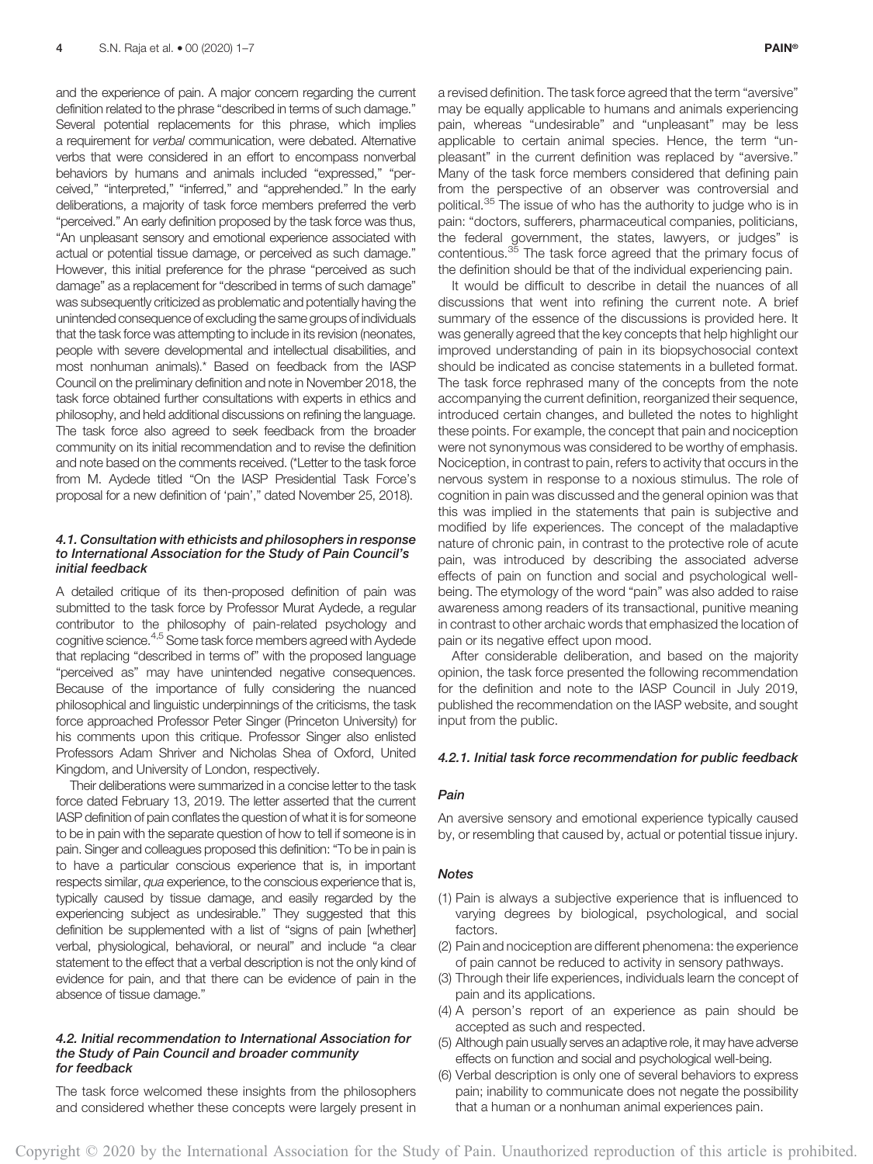and the experience of pain. A major concern regarding the current definition related to the phrase "described in terms of such damage." Several potential replacements for this phrase, which implies a requirement for verbal communication, were debated. Alternative verbs that were considered in an effort to encompass nonverbal behaviors by humans and animals included "expressed," "perceived," "interpreted," "inferred," and "apprehended." In the early deliberations, a majority of task force members preferred the verb "perceived." An early definition proposed by the task force was thus, "An unpleasant sensory and emotional experience associated with actual or potential tissue damage, or perceived as such damage." However, this initial preference for the phrase "perceived as such damage" as a replacement for "described in terms of such damage" was subsequently criticized as problematic and potentially having the unintended consequence of excluding the same groups of individuals that the task force was attempting to include in its revision (neonates, people with severe developmental and intellectual disabilities, and most nonhuman animals).\* Based on feedback from the IASP Council on the preliminary definition and note in November 2018, the task force obtained further consultations with experts in ethics and philosophy, and held additional discussions on refining the language. The task force also agreed to seek feedback from the broader community on its initial recommendation and to revise the definition and note based on the comments received. (\*Letter to the task force from M. Aydede titled "On the IASP Presidential Task Force's proposal for a new definition of 'pain'," dated November 25, 2018).

#### 4.1. Consultation with ethicists and philosophers in response to International Association for the Study of Pain Council's initial feedback

A detailed critique of its then-proposed definition of pain was submitted to the task force by Professor Murat Aydede, a regular contributor to the philosophy of pain-related psychology and cognitive science.4,5 Some task force members agreed with Aydede that replacing "described in terms of" with the proposed language "perceived as" may have unintended negative consequences. Because of the importance of fully considering the nuanced philosophical and linguistic underpinnings of the criticisms, the task force approached Professor Peter Singer (Princeton University) for his comments upon this critique. Professor Singer also enlisted Professors Adam Shriver and Nicholas Shea of Oxford, United Kingdom, and University of London, respectively.

Their deliberations were summarized in a concise letter to the task force dated February 13, 2019. The letter asserted that the current IASP definition of pain conflates the question of what it is for someone to be in pain with the separate question of how to tell if someone is in pain. Singer and colleagues proposed this definition: "To be in pain is to have a particular conscious experience that is, in important respects similar, qua experience, to the conscious experience that is, typically caused by tissue damage, and easily regarded by the experiencing subject as undesirable." They suggested that this definition be supplemented with a list of "signs of pain [whether] verbal, physiological, behavioral, or neural" and include "a clear statement to the effect that a verbal description is not the only kind of evidence for pain, and that there can be evidence of pain in the absence of tissue damage."

#### 4.2. Initial recommendation to International Association for the Study of Pain Council and broader community for feedback

The task force welcomed these insights from the philosophers and considered whether these concepts were largely present in a revised definition. The task force agreed that the term "aversive" may be equally applicable to humans and animals experiencing pain, whereas "undesirable" and "unpleasant" may be less applicable to certain animal species. Hence, the term "unpleasant" in the current definition was replaced by "aversive." Many of the task force members considered that defining pain from the perspective of an observer was controversial and political.<sup>35</sup> The issue of who has the authority to judge who is in pain: "doctors, sufferers, pharmaceutical companies, politicians, the federal government, the states, lawyers, or judges" is contentious.<sup>35</sup> The task force agreed that the primary focus of the definition should be that of the individual experiencing pain.

It would be difficult to describe in detail the nuances of all discussions that went into refining the current note. A brief summary of the essence of the discussions is provided here. It was generally agreed that the key concepts that help highlight our improved understanding of pain in its biopsychosocial context should be indicated as concise statements in a bulleted format. The task force rephrased many of the concepts from the note accompanying the current definition, reorganized their sequence, introduced certain changes, and bulleted the notes to highlight these points. For example, the concept that pain and nociception were not synonymous was considered to be worthy of emphasis. Nociception, in contrast to pain, refers to activity that occurs in the nervous system in response to a noxious stimulus. The role of cognition in pain was discussed and the general opinion was that this was implied in the statements that pain is subjective and modified by life experiences. The concept of the maladaptive nature of chronic pain, in contrast to the protective role of acute pain, was introduced by describing the associated adverse effects of pain on function and social and psychological wellbeing. The etymology of the word "pain" was also added to raise awareness among readers of its transactional, punitive meaning in contrast to other archaic words that emphasized the location of pain or its negative effect upon mood.

After considerable deliberation, and based on the majority opinion, the task force presented the following recommendation for the definition and note to the IASP Council in July 2019, published the recommendation on the IASP website, and sought input from the public.

#### 4.2.1. Initial task force recommendation for public feedback

#### Pain

An aversive sensory and emotional experience typically caused by, or resembling that caused by, actual or potential tissue injury.

#### **Notes**

- (1) Pain is always a subjective experience that is influenced to varying degrees by biological, psychological, and social factors.
- (2) Pain and nociception are different phenomena: the experience of pain cannot be reduced to activity in sensory pathways.
- (3) Through their life experiences, individuals learn the concept of pain and its applications.
- (4) A person's report of an experience as pain should be accepted as such and respected.
- (5) Although pain usually serves an adaptive role, it may have adverse effects on function and social and psychological well-being.
- (6) Verbal description is only one of several behaviors to express pain; inability to communicate does not negate the possibility that a human or a nonhuman animal experiences pain.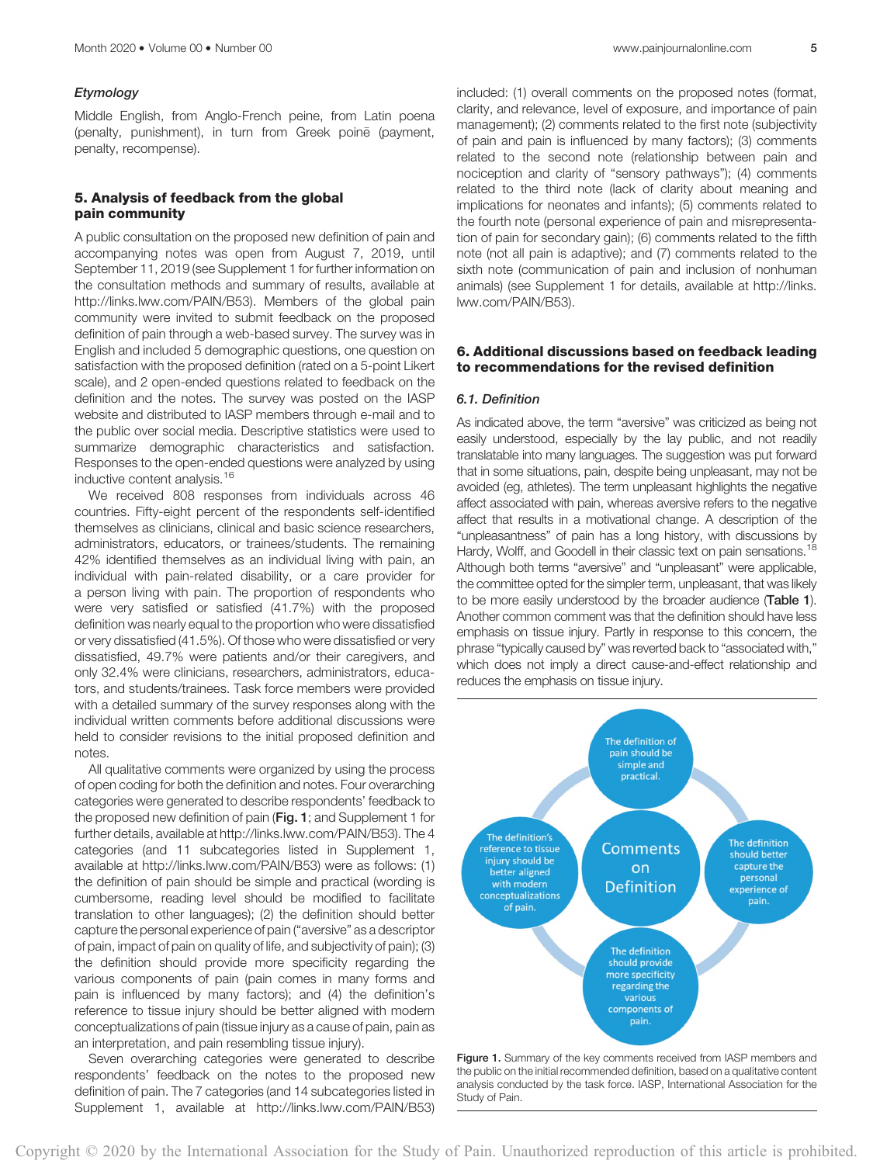#### Etymology

Middle English, from Anglo-French peine, from Latin poena (penalty, punishment), in turn from Greek poine (payment, penalty, recompense).

#### 5. Analysis of feedback from the global pain community

A public consultation on the proposed new definition of pain and accompanying notes was open from August 7, 2019, until September 11, 2019 (see Supplement 1 for further information on the consultation methods and summary of results, available at [http://links.lww.com/PAIN/B53\)](http://links.lww.com/PAIN/B53). Members of the global pain community were invited to submit feedback on the proposed definition of pain through a web-based survey. The survey was in English and included 5 demographic questions, one question on satisfaction with the proposed definition (rated on a 5-point Likert scale), and 2 open-ended questions related to feedback on the definition and the notes. The survey was posted on the IASP website and distributed to IASP members through e-mail and to the public over social media. Descriptive statistics were used to summarize demographic characteristics and satisfaction. Responses to the open-ended questions were analyzed by using inductive content analysis.<sup>16</sup>

We received 808 responses from individuals across 46 countries. Fifty-eight percent of the respondents self-identified themselves as clinicians, clinical and basic science researchers, administrators, educators, or trainees/students. The remaining 42% identified themselves as an individual living with pain, an individual with pain-related disability, or a care provider for a person living with pain. The proportion of respondents who were very satisfied or satisfied (41.7%) with the proposed definition was nearly equal to the proportion who were dissatisfied or very dissatisfied (41.5%). Of those who were dissatisfied or very dissatisfied, 49.7% were patients and/or their caregivers, and only 32.4% were clinicians, researchers, administrators, educators, and students/trainees. Task force members were provided with a detailed summary of the survey responses along with the individual written comments before additional discussions were held to consider revisions to the initial proposed definition and notes.

All qualitative comments were organized by using the process of open coding for both the definition and notes. Four overarching categories were generated to describe respondents' feedback to the proposed new definition of pain (Fig. 1; and Supplement 1 for further details, available at [http://links.lww.com/PAIN/B53\)](http://links.lww.com/PAIN/B53). The 4 categories (and 11 subcategories listed in Supplement 1, available at [http://links.lww.com/PAIN/B53\)](http://links.lww.com/PAIN/B53) were as follows: (1) the definition of pain should be simple and practical (wording is cumbersome, reading level should be modified to facilitate translation to other languages); (2) the definition should better capture the personal experience of pain ("aversive" as a descriptor of pain, impact of pain on quality of life, and subjectivity of pain); (3) the definition should provide more specificity regarding the various components of pain (pain comes in many forms and pain is influenced by many factors); and (4) the definition's reference to tissue injury should be better aligned with modern conceptualizations of pain (tissue injury as a cause of pain, pain as an interpretation, and pain resembling tissue injury).

Seven overarching categories were generated to describe respondents' feedback on the notes to the proposed new definition of pain. The 7 categories (and 14 subcategories listed in Supplement 1, available at [http://links.lww.com/PAIN/B53\)](http://links.lww.com/PAIN/B53) included: (1) overall comments on the proposed notes (format, clarity, and relevance, level of exposure, and importance of pain management); (2) comments related to the first note (subjectivity of pain and pain is influenced by many factors); (3) comments related to the second note (relationship between pain and nociception and clarity of "sensory pathways"); (4) comments related to the third note (lack of clarity about meaning and implications for neonates and infants); (5) comments related to the fourth note (personal experience of pain and misrepresentation of pain for secondary gain); (6) comments related to the fifth note (not all pain is adaptive); and (7) comments related to the sixth note (communication of pain and inclusion of nonhuman animals) (see Supplement 1 for details, available at [http://links.](http://links.lww.com/PAIN/B53) [lww.com/PAIN/B53\)](http://links.lww.com/PAIN/B53).

#### 6. Additional discussions based on feedback leading to recommendations for the revised definition

#### 6.1. Definition

As indicated above, the term "aversive" was criticized as being not easily understood, especially by the lay public, and not readily translatable into many languages. The suggestion was put forward that in some situations, pain, despite being unpleasant, may not be avoided (eg, athletes). The term unpleasant highlights the negative affect associated with pain, whereas aversive refers to the negative affect that results in a motivational change. A description of the "unpleasantness" of pain has a long history, with discussions by Hardy, Wolff, and Goodell in their classic text on pain sensations.<sup>18</sup> Although both terms "aversive" and "unpleasant" were applicable, the committee opted for the simpler term, unpleasant, that was likely to be more easily understood by the broader audience (Table 1). Another common comment was that the definition should have less emphasis on tissue injury. Partly in response to this concern, the phrase "typically caused by" was reverted back to "associated with," which does not imply a direct cause-and-effect relationship and reduces the emphasis on tissue injury.



the public on the initial recommended definition, based on a qualitative content analysis conducted by the task force. IASP, International Association for the Study of Pain.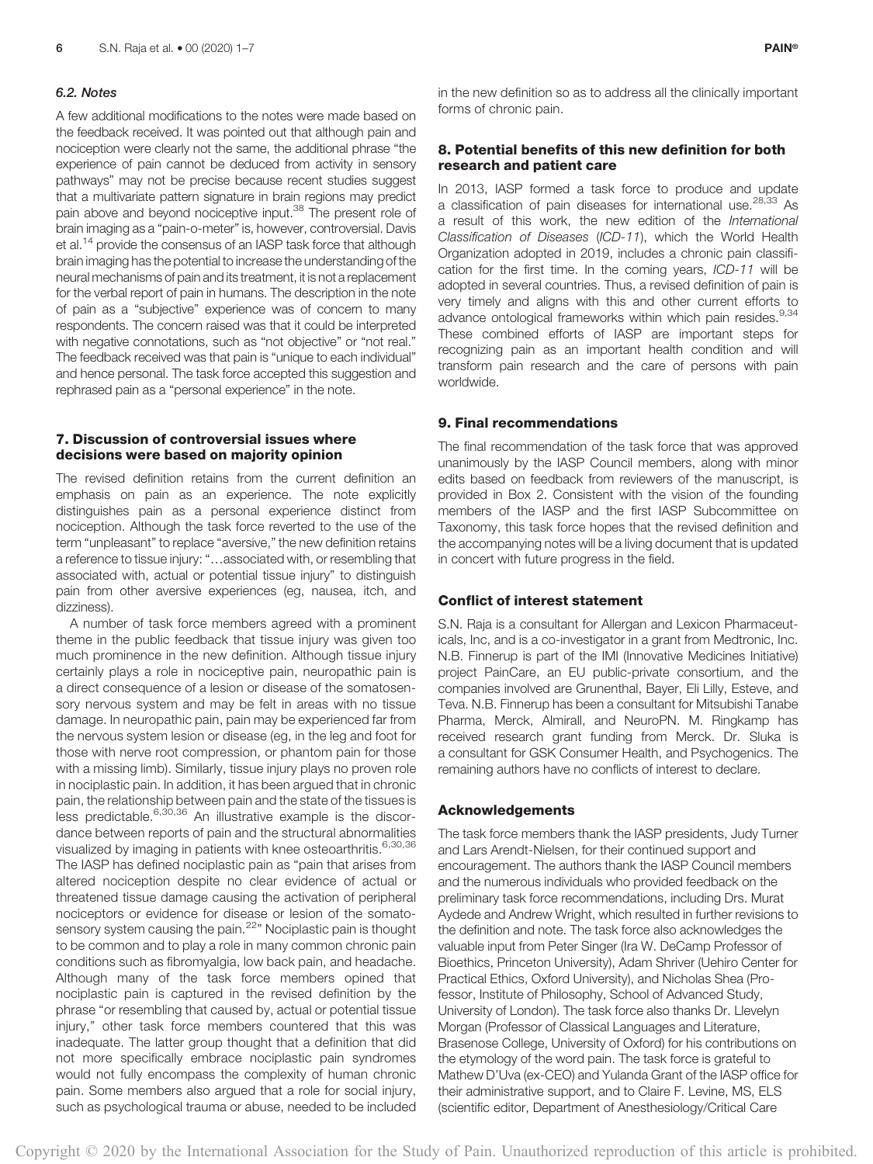#### 6.2. Notes

A few additional modifications to the notes were made based on the feedback received. It was pointed out that although pain and nociception were clearly not the same, the additional phrase "the experience of pain cannot be deduced from activity in sensory pathways" may not be precise because recent studies suggest that a multivariate pattern signature in brain regions may predict pain above and beyond nociceptive input.<sup>38</sup> The present role of brain imaging as a "pain-o-meter" is, however, controversial. Davis et al.<sup>14</sup> provide the consensus of an IASP task force that although brain imaging has the potential to increase the understanding of the neural mechanisms of pain and its treatment, it is not a replacement for the verbal report of pain in humans. The description in the note of pain as a "subjective" experience was of concern to many respondents. The concern raised was that it could be interpreted with negative connotations, such as "not objective" or "not real." The feedback received was that pain is "unique to each individual" and hence personal. The task force accepted this suggestion and rephrased pain as a "personal experience" in the note.

#### 7. Discussion of controversial issues where decisions were based on majority opinion

The revised definition retains from the current definition an emphasis on pain as an experience. The note explicitly distinguishes pain as a personal experience distinct from nociception. Although the task force reverted to the use of the term "unpleasant" to replace "aversive," the new definition retains a reference to tissue injury: "…associated with, or resembling that associated with, actual or potential tissue injury" to distinguish pain from other aversive experiences (eg, nausea, itch, and dizziness).

A number of task force members agreed with a prominent theme in the public feedback that tissue injury was given too much prominence in the new definition. Although tissue injury certainly plays a role in nociceptive pain, neuropathic pain is a direct consequence of a lesion or disease of the somatosensory nervous system and may be felt in areas with no tissue damage. In neuropathic pain, pain may be experienced far from the nervous system lesion or disease (eg, in the leg and foot for those with nerve root compression, or phantom pain for those with a missing limb). Similarly, tissue injury plays no proven role in nociplastic pain. In addition, it has been argued that in chronic pain, the relationship between pain and the state of the tissues is less predictable.<sup>6,30,36</sup> An illustrative example is the discordance between reports of pain and the structural abnormalities visualized by imaging in patients with knee osteoarthritis.<sup>6,30,36</sup> The IASP has defined nociplastic pain as "pain that arises from altered nociception despite no clear evidence of actual or threatened tissue damage causing the activation of peripheral nociceptors or evidence for disease or lesion of the somatosensory system causing the pain.<sup>22</sup>" Nociplastic pain is thought to be common and to play a role in many common chronic pain conditions such as fibromyalgia, low back pain, and headache. Although many of the task force members opined that nociplastic pain is captured in the revised definition by the phrase "or resembling that caused by, actual or potential tissue injury," other task force members countered that this was inadequate. The latter group thought that a definition that did not more specifically embrace nociplastic pain syndromes would not fully encompass the complexity of human chronic pain. Some members also argued that a role for social injury, such as psychological trauma or abuse, needed to be included

in the new definition so as to address all the clinically important forms of chronic pain.

#### 8. Potential benefits of this new definition for both research and patient care

In 2013, IASP formed a task force to produce and update a classification of pain diseases for international use.<sup>28,33</sup> As a result of this work, the new edition of the International Classification of Diseases (ICD-11), which the World Health Organization adopted in 2019, includes a chronic pain classification for the first time. In the coming years, ICD-11 will be adopted in several countries. Thus, a revised definition of pain is very timely and aligns with this and other current efforts to advance ontological frameworks within which pain resides.<sup>9,34</sup> These combined efforts of IASP are important steps for recognizing pain as an important health condition and will transform pain research and the care of persons with pain worldwide.

#### 9. Final recommendations

The final recommendation of the task force that was approved unanimously by the IASP Council members, along with minor edits based on feedback from reviewers of the manuscript, is provided in Box 2. Consistent with the vision of the founding members of the IASP and the first IASP Subcommittee on Taxonomy, this task force hopes that the revised definition and the accompanying notes will be a living document that is updated in concert with future progress in the field.

#### Conflict of interest statement

S.N. Raja is a consultant for Allergan and Lexicon Pharmaceuticals, Inc, and is a co-investigator in a grant from Medtronic, Inc. N.B. Finnerup is part of the IMI (Innovative Medicines Initiative) project PainCare, an EU public-private consortium, and the companies involved are Grunenthal, Bayer, Eli Lilly, Esteve, and Teva. N.B. Finnerup has been a consultant for Mitsubishi Tanabe Pharma, Merck, Almirall, and NeuroPN. M. Ringkamp has received research grant funding from Merck. Dr. Sluka is a consultant for GSK Consumer Health, and Psychogenics. The remaining authors have no conflicts of interest to declare.

#### Acknowledgements

The task force members thank the IASP presidents, Judy Turner and Lars Arendt-Nielsen, for their continued support and encouragement. The authors thank the IASP Council members and the numerous individuals who provided feedback on the preliminary task force recommendations, including Drs. Murat Aydede and Andrew Wright, which resulted in further revisions to the definition and note. The task force also acknowledges the valuable input from Peter Singer (Ira W. DeCamp Professor of Bioethics, Princeton University), Adam Shriver (Uehiro Center for Practical Ethics, Oxford University), and Nicholas Shea (Professor, Institute of Philosophy, School of Advanced Study, University of London). The task force also thanks Dr. Llevelyn Morgan (Professor of Classical Languages and Literature, Brasenose College, University of Oxford) for his contributions on the etymology of the word pain. The task force is grateful to Mathew D'Uva (ex-CEO) and Yulanda Grant of the IASP office for their administrative support, and to Claire F. Levine, MS, ELS (scientific editor, Department of Anesthesiology/Critical Care